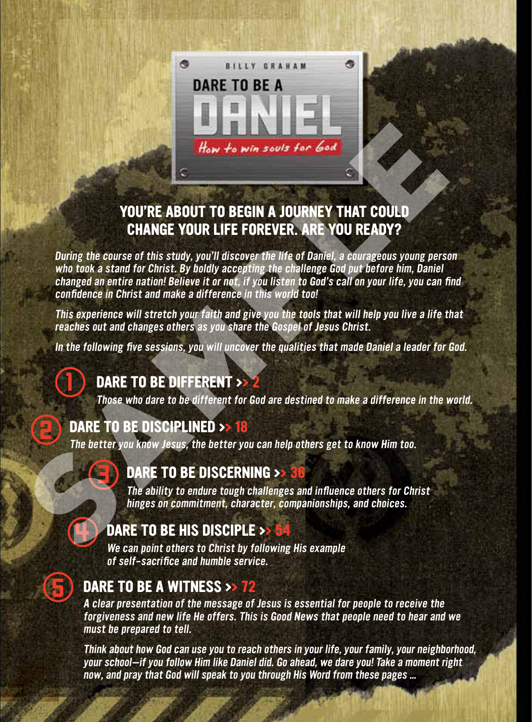

### **You're about to begin a journey that could change your life forever. Are you ready?**

During the course of this study, you'll discover the life of Daniel, a courageous young person who took a stand for Christ. By boldly accepting the challenge God put before him, Daniel changed an entire nation! Believe it or not, if you listen to God's call on your life, you can find confidence in Christ and make a difference in this world too! In the following five sessions, you will uncover the life of Daniel a courageous young person who took a stand for Chinats. By bottly account the first of Daniel, a courageous young person who took a stand for Chinats. By

This experience will stretch your faith and give you the tools that will help you live a life that reaches out and changes others as you share the Gospel of Jesus Christ.

#### **DARE TO BE DIFFERENT >>**

Those who dare to be different for God are destined to make a difference in the world.

#### 2 **DARE TO BE DISCIPLINED >> 18**

The better you know Jesus, the better you can help others get to know Him too.

#### **DARE TO BE DISCERNING >>**

The ability to endure tough challenges and influence others for Christ hinges on commitment, character, companionships, and choices.

### **DARE TO BE HIS DISCIPLE >>**

We can point others to Christ by following His example of self-sacrifice and humble service.



#### DARE TO BE A WITNESS >> 72

A clear presentation of the message of Jesus is essential for people to receive the forgiveness and new life He offers. This is Good News that people need to hear and we must be prepared to tell.

Think about how God can use you to reach others in your life, your family, your neighborhood, your school—if you follow Him like Daniel did. Go ahead, we dare you! Take a moment right now, and pray that God will speak to you through His Word from these pages …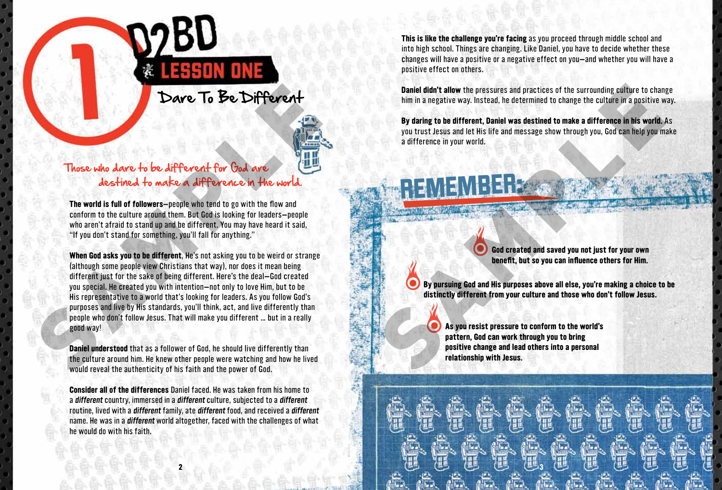Dare To Be Different

**LESSON ONE** 

### Those who dare to be different for God are destined to make a difference in the world.

**The world is full of followers**—people who tend to go with the flow and conform to the culture around them. But God is looking for leaders—people who aren't afraid to stand up and be different. You may have heard it said, "If you don't stand for something, you'll fall for anything."

**When God asks you to be different**, He's not asking you to be weird or strange (although some people view Christians that way), nor does it mean being different just for the sake of being different. Here's the deal—God created you special. He created you with intention—not only to love Him, but to be His representative to a world that's looking for leaders. As you follow God's purposes and live by His standards, you'll think, act, and live differently than people who don't follow Jesus. That will make you different … but in a really good way! Dave To Be Different that the three than the three than the three than the three than the three than the three than the three than the three than the three than the three than the three than the three three three three thr

**Daniel understood** that as a follower of God, he should live differently than the culture around him. He knew other people were watching and how he lived would reveal the authenticity of his faith and the power of God.

**Consider all of the differences** Daniel faced. He was taken from his home to a different country, immersed in a different culture, subjected to a different routine, lived with a different family, ate different food, and received a different name. He was in a different world altogether, faced with the challenges of what he would do with his faith.

**This is like the challenge you're facing** as you proceed through middle school and into high school. Things are changing. Like Daniel, you have to decide whether these changes will have a positive or a negative effect on you—and whether you will have a positive effect on others.

**Daniel didn't allow** the pressures and practices of the surrounding culture to change him in a negative way. Instead, he determined to change the culture in a positive way.

**By daring to be different, Daniel was destined to make a difference in his world.** As you trust Jesus and let His life and message show through you, God can help you make a difference in your world. Daniel didn't allow the pressures and practices of the surrounding culture to change this in in a negative way. Instead, he determined to change the culture in a positive way. Instead, he determined to change the culture i

**God created and saved you not just for your own benefit, but so you can influence others for Him.**

**By pursuing God and His purposes above all else, you're making a choice to be distinctly different from your culture and those who don't follow Jesus.**

**As you resist pressure to conform to the world's pattern, God can work through you to bring positive change and lead others into a personal relationship with Jesus.**

**2 3**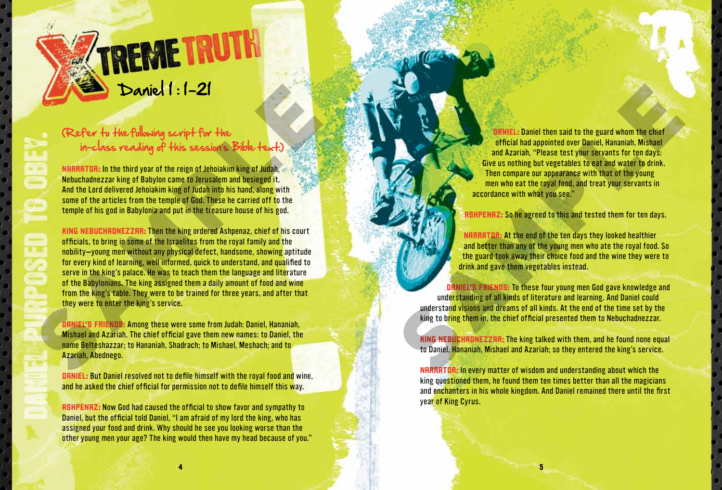

### (Refer to the following script for the in-class reading of this session's Bible text.)

NARRATOR: In the third year of the reign of Jehoiakim king of Judah, Nebuchadnezzar king of Babylon came to Jerusalem and besieged it. And the Lord delivered Jehoiakim king of Judah into his hand, along with some of the articles from the temple of God. These he carried off to the temple of his god in Babylonia and put in the treasure house of his god.

KING NEBUCHADNEZZAR: Then the king ordered Ashpenaz, chief of his court officials, to bring in some of the Israelites from the royal family and the nobility—young men without any physical defect, handsome, showing aptitude for every kind of learning, well informed, quick to understand, and qualified to serve in the king's palace. He was to teach them the language and literature of the Babylonians. The king assigned them a daily amount of food and wine from the king's table. They were to be trained for three years, and after that they were to enter the king's service.

DANIEL'S FRIENDS: Among these were some from Judah: Daniel, Hananiah, Mishael and Azariah. The chief official gave them new names: to Daniel, the name Belteshazzar; to Hananiah, Shadrach; to Mishael, Meshach; and to Azariah, Abednego.

DANIEL: But Daniel resolved not to defile himself with the royal food and wine, and he asked the chief official for permission not to defile himself this way.

ASHPENAZ: Now God had caused the official to show favor and sympathy to Daniel, but the official told Daniel, "I am afraid of my lord the king, who has assigned your food and drink. Why should he see you looking worse than the other young men your age? The king would then have my head because of you."

DANIEL: Daniel then said to the guard whom the chief official had appointed over Daniel, Hananiah, Mishael and Azariah, "Please test your servants for ten days: Give us nothing but vegetables to eat and water to drink. Then compare our appearance with that of the young men who eat the royal food, and treat your servants in accordance with what you see."

ASHPENAZ: So he agreed to this and tested them for ten days.

NARRATOR: At the end of the ten days they looked healthier and better than any of the young men who ate the royal food. So the guard took away their choice food and the wine they were to drink and gave them vegetables instead.

DRNIEL'S FRIENDS: To these four young men God gave knowledge and understanding of all kinds of literature and learning. And Daniel could understand visions and dreams of all kinds. At the end of the time set by the king to bring them in, the chief official presented them to Nebuchadnezzar.

KING NEBUCHADNEZZAR: The king talked with them, and he found none equal to Daniel, Hananiah, Mishael and Azariah; so they entered the king's service.

NARRATOR: In every matter of wisdom and understanding about which the king questioned them, he found them ten times better than all the magicians and enchanters in his whole kingdom. And Daniel remained there until the first year of King Cyrus.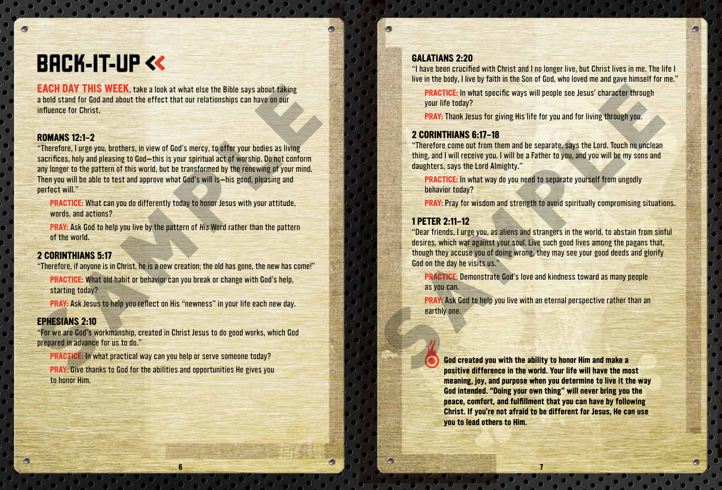## **BACK-IT-UP <<**

**EACH DAY THIS WEEK**, take a look at what else the Bible says about taking a bold stand for God and about the effect that our relationships can have on our influence for Christ.

#### **Romans 12:1-2**

"Therefore, I urge you, brothers, in view of God's mercy, to offer your bodies as living sacrifices, holy and pleasing to God-this is your spiritual act of worship. Do not conform any longer to the pattern of this world, but be transformed by the renewing of your mind. Then you will be able to test and approve what God's will is—his good, pleasing and perfect will." **EACH DAY THIS WEEK**, take a look at what else the Bible says about taking<br>a buld stand for God and about the effect that our relationships can have on our<br>influence for Christ.<br>**ROMANS 12:1-2**<br>"Therefore, lurge you, broth

**PRACTICE:** What can you do differently today to honor Jesus with your attitude, words, and actions?

**PRAY:** Ask God to help you live by the pattern of His Word rather than the pattern of the world.

#### **2 Corinthians 5:17**

"Therefore, if anyone is in Christ, he is a new creation; the old has gone, the new has come!"

**PRACTICE:** What old habit or behavior can you break or change with God's help, starting today?

**PRAY:** Ask Jesus to help you reflect on His "newness" in your life each new day.

#### **Ephesians 2:10**

"For we are God's workmanship, created in Christ Jesus to do good works, which God prepared in advance for us to do."

**PRACTICE:** In what practical way can you help or serve someone today?

**PRAY:** Give thanks to God for the abilities and opportunities He gives you to honor Him.

#### **GALATIANS 2:20**

"I have been crucified with Christ and I no longer live, but Christ lives in me. The life I live in the body, I live by faith in the Son of God, who loved me and gave himself for me."

**PRACTICE:** In what specific ways will people see Jesus' character through your life today?

**PRAY:** Thank Jesus for giving His life for you and for living through you.

#### **2 Corinthians 6:17-18**

"Therefore come out from them and be separate, says the Lord. Touch no unclean thing, and I will receive you. I will be a Father to you, and you will be my sons and daughters, says the Lord Almighty."

**PRACTICE:** In what way do you need to separate yourself from ungodly behavior today?

**PRAY:** Pray for wisdom and strength to avoid spiritually compromising situations.

#### **1 PETER 2:11-12**

**6 7**

e

"Dear friends, I urge you, as aliens and strangers in the world, to abstain from sinful desires, which war against your soul. Live such good lives among the pagans that, though they accuse you of doing wrong, they may see your good deeds and glorify God on the day he visits us." **PRACTICE:** In what specific ways will people see Jesus' character through<br>your life today?<br>**PRAY.** Thank Jesus for giving His life for you and for living through you.<br>**2 CORINTHIANS 6:17-18**<br>"Therefore come out from them

**PRACTICE:** Demonstrate God's love and kindness toward as many people as you can.

**PRAY:** Ask God to help you live with an eternal perspective rather than an earthly one.

**God created you with the ability to honor Him and make a positive difference in the world. Your life will have the most meaning, joy, and purpose when you determine to live it the way God intended. "Doing your own thing" will never bring you the peace, comfort, and fulfillment that you can have by following Christ. If you're not afraid to be different for Jesus, He can use you to lead others to Him.**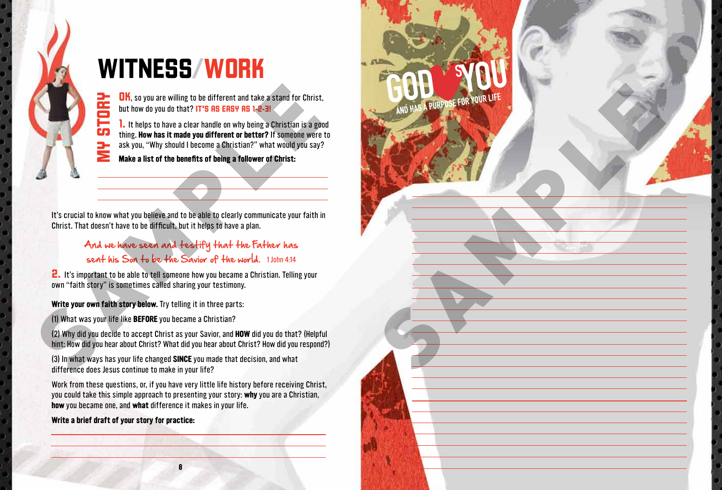# WITNESS/WORK

**OK**, so you are willing to be different and take a stand for Christ, but how do you do that? IT'S AS EASY AS 1-2-3!

1. It helps to have a clear handle on why being a Christian is a good thing. **How has it made you different or better?** If someone were to ask you, "Why should I become a Christian?" what would you say? MY STORY **EXECUTE: CONSIDERATIVE CONSIDERATIVE IN A CONSIDERATIVE CONSIDERATIVE IN A CONSIDERATIVE CONSIDERATIVE IN A CONSIDERATIVE CONSIDERATIVE IN A CONSIDERATIVE CONSIDERATIVE IN A CONSIDERATIVE WAS A UNIVERSE AND UNIVERSIDE U** 

SAMPLE SAMPLE

**Make a list of the benefits of being a follower of Christ:**

It's crucial to know what you believe and to be able to clearly communicate your faith in Christ. That doesn't have to be difficult, but it helps to have a plan.

> And we have seen and testify that the Father has sent his Son to be the Savior of the world. 1 John 4:14

2. It's important to be able to tell someone how you became a Christian. Telling your own "faith story" is sometimes called sharing your testimony.

**Write your own faith story below.** Try telling it in three parts:

(1) What was your life like **before** you became a Christian?

(2) Why did you decide to accept Christ as your Savior, and **how** did you do that? (Helpful hint: How did you hear about Christ? What did you hear about Christ? How did you respond?)

(3) In what ways has your life changed **since** you made that decision, and what difference does Jesus continue to make in your life?

Work from these questions, or, if you have very little life history before receiving Christ, you could take this simple approach to presenting your story: **why** you are a Christian, **how** you became one, and **what** difference it makes in your life.

**Write a brief draft of your story for practice:**

**8**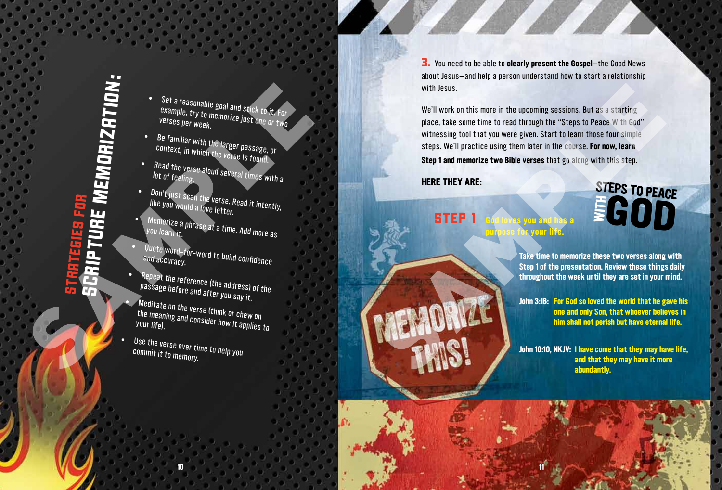SCRIPTURE MEMORIZATION: SCRIPTURE MEMORIZATION:

Set a reasonable goal and stick to it. For<br>example, try to memorize just one or two<br>verses per week example, try to memorize just one or two<br>verses per week.

- Be familiar with the larger passage, or context, in which the verse is found.
- $\bullet$  Read the verse aloud several times with a lot of feeling.
- **Don't just scan the verse. Read it intently,** like you would a love letter.
- $\bullet$  Memorize a phrase at a time. Add more as
- • Quote word-for-word to build confidence and accuracy.
- Repeat the reference (the address) of the passage before and after you say it.
- **Meditate on the verse (think or chew on the meaning and consider how it applies**  $t$ the meaning and consider how chew on<br>your life).
- Use the verse over time to help you commit it to memory.

3. You need to be able to **clearly present the Gospel**—the Good News about Jesus—and help a person understand how to start a relationship with Jesus.

We'll work on this more in the upcoming sessions. But as a starting place, take some time to read through the "Steps to Peace With God" witnessing tool that you were given. Start to learn those four simple steps. We'll practice using them later in the course. **For now, learn Step 1 and memorize two Bible verses** that go along with this step.

**purpose for your life.**

**Here they are:**

## **GTEP**

**10 11**

# **STEPS TO PEACE WITH**  $\blacksquare$

**Take time to memorize these two verses along with Step 1 of the presentation. Review these things daily throughout the week until they are set in your mind.**

**John 3:16: For God so loved the world that he gave his one and only Son, that whoever believes in him shall not perish but have eternal life.**

**John 10:10, NKJV: I have come that they may have life, and that they may have it more abundantly.**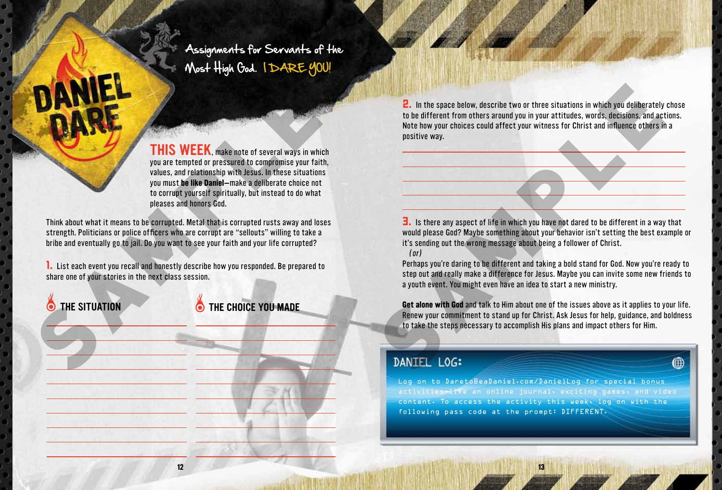Assignments for Servants of the Most High God. I DARE YOU!

THIS WEEK, make note of several ways in which you are tempted or pressured to compromise your faith, values, and relationship with Jesus. In these situations you must **be like Daniel**—make a deliberate choice not to corrupt yourself spiritually, but instead to do what pleases and honors God. THIS WEEK, make note of several ways in which was a responded to comprisue of the Carolina or process and hones who was the like Damitel – make a deliberate choice not you must be like Damitel – make a deliberate choice no

Think about what it means to be corrupted. Metal that is corrupted rusts away and loses strength. Politicians or police officers who are corrupt are "sellouts" willing to take a bribe and eventually go to jail. Do you want to see your faith and your life corrupted?

1. List each event you recall and honestly describe how you responded. Be prepared to share one of your stories in the next class session.

THE SITUATION **THE CHOICE YOU MADE** 

**2.** In the space below, describe two or three situations in which you deliberately chose to be different from others around you in your attitudes, words, decisions, and actions. Note how your choices could affect your witness for Christ and influence others in a positive way. **2.** In the space helow, describe two or three situations in which you deliberately<br>to be different from others around you in your attitudes, words, decisions, and act<br>Note how your choices could affect your witness for Ch

**3.** Is there any aspect of life in which you have not dared to be different in a way that would please God? Maybe something about your behavior isn't setting the best example or it's sending out the wrong message about being a follower of Christ.

(or)

Perhaps you're daring to be different and taking a bold stand for God. Now you're ready to step out and really make a difference for Jesus. Maybe you can invite some new friends to a youth event. You might even have an idea to start a new ministry.

**Get alone with God** and talk to Him about one of the issues above as it applies to your life. Renew your commitment to stand up for Christ. Ask Jesus for help, guidance, and boldness to take the steps necessary to accomplish His plans and impact others for Him.

(∰

Log on to DaretoBeaDaniel.com/DanielLog for special bonus activities—like an online journal, exciting games, and video content. To access the activity this week, log on with the following pass code at the prompt: DIFFERENT.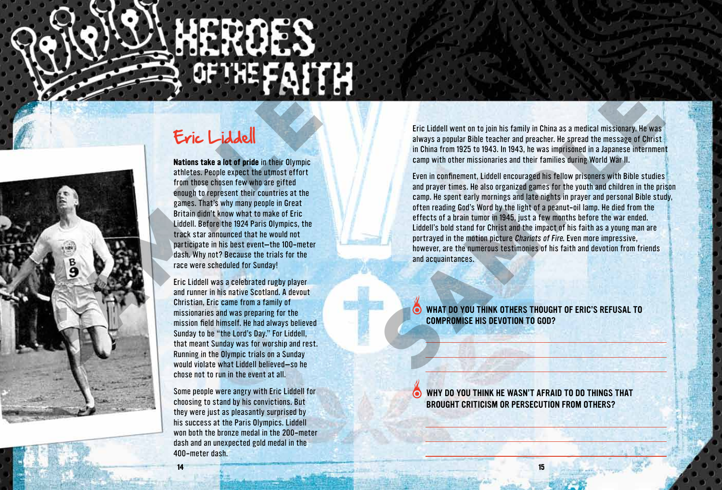

## Eric Liddell

**Nations take a lot of pride** in their Olympic athletes. People expect the utmost effort from those chosen few who are gifted enough to represent their countries at the games. That's why many people in Great Britain didn't know what to make of Eric Liddell. Before the 1924 Paris Olympics, the track star announced that he would not participate in his best event—the 100-meter dash. Why not? Because the trials for the race were scheduled for Sunday! Fric Liddell<br>
Nations take a lot of pride in their Olympic<br>
talletes. People expect the utmsst effort<br>
from those chosen few who are gifted<br>
emagli to represent their countries at the<br>
games. That's why many people in Grea

Eric Liddell was a celebrated rugby player and runner in his native Scotland. A devout Christian, Eric came from a family of missionaries and was preparing for the mission field himself. He had always believed Sunday to be "the Lord's Day." For Liddell, that meant Sunday was for worship and rest. Running in the Olympic trials on a Sunday would violate what Liddell believed—so he chose not to run in the event at all.

Some people were angry with Eric Liddell for choosing to stand by his convictions. But they were just as pleasantly surprised by his success at the Paris Olympics. Liddell won both the bronze medal in the 200-meter dash and an unexpected gold medal in the 400-meter dash.

**14 15**

Eric Liddell went on to join his family in China as a medical missionary. He was always a popular Bible teacher and preacher. He spread the message of Christ in China from 1925 to 1943. In 1943, he was imprisoned in a Japanese internment camp with other missionaries and their families during World War II.

Even in confinement, Liddell encouraged his fellow prisoners with Bible studies and prayer times. He also organized games for the youth and children in the prison camp. He spent early mornings and late nights in prayer and personal Bible study, often reading God's Word by the light of a peanut-oil lamp. He died from the effects of a brain tumor in 1945, just a few months before the war ended. Liddell's bold stand for Christ and the impact of his faith as a young man are portrayed in the motion picture Chariots of Fire. Even more impressive, however, are the numerous testimonies of his faith and devotion from friends and acquaintances. Eric Liddell's went on to join his family in China as a medical missionary. He was always a popular Bible teacher and preacher. He spread the message of Christ in China from 1925 to 1943. In 1943, he was imprisoned in a Ja

WHAT DO YOU THINK OTHERS THOUGHT OF ERIC'S REFUSAL TO compromise his devotion to God?

WHY DO YOU THINK HE WASN'T AFRAID TO DO THINGS THAT brought criticism or persecution from others?